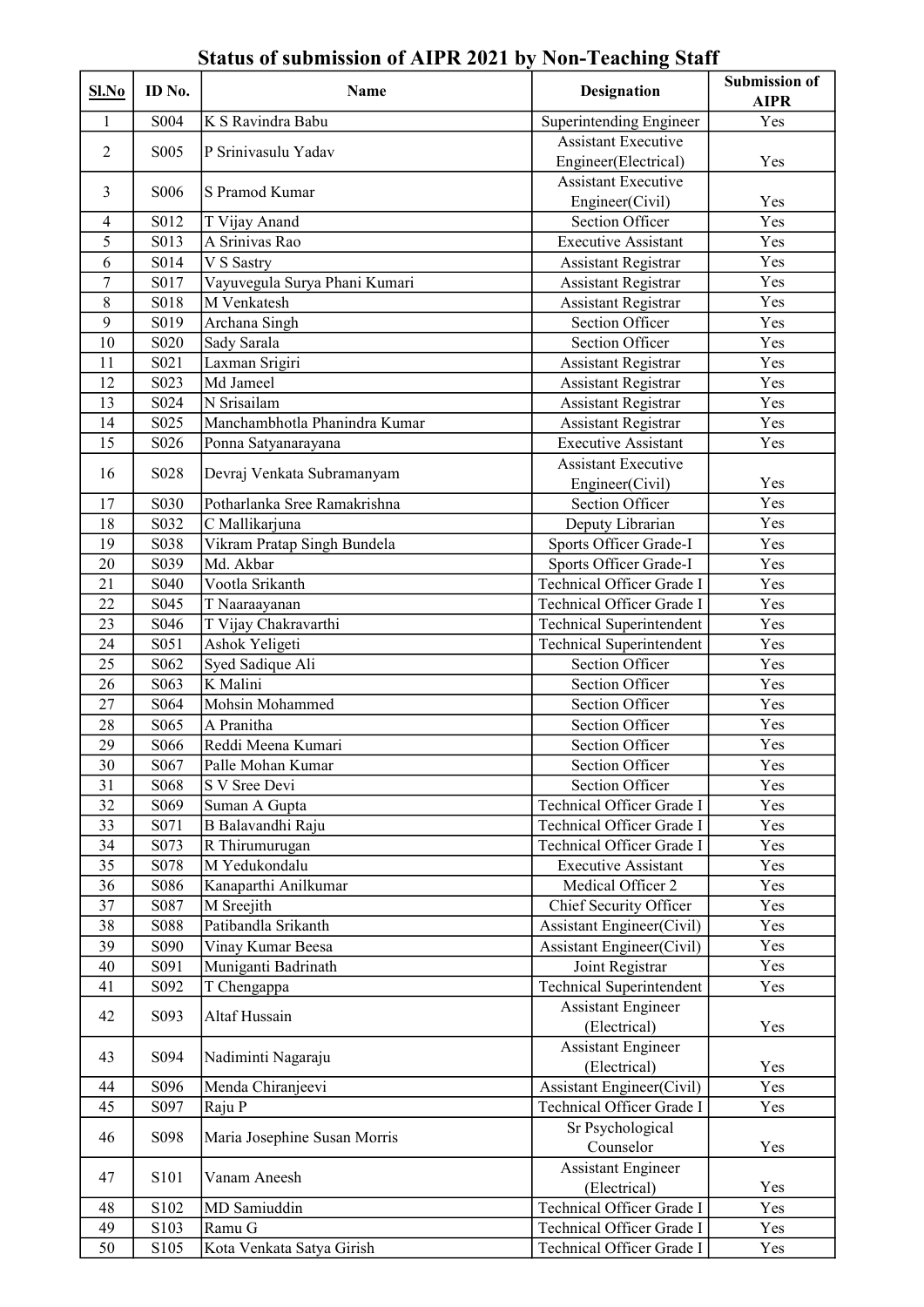| Sl.No          | ID No.                        | Name                          | <b>Designation</b>               | <b>Submission of</b><br><b>AIPR</b> |
|----------------|-------------------------------|-------------------------------|----------------------------------|-------------------------------------|
| 1              | S004                          | K S Ravindra Babu             | Superintending Engineer          | Yes                                 |
|                |                               |                               | <b>Assistant Executive</b>       |                                     |
| $\overline{2}$ | S <sub>0</sub> 05             | P Srinivasulu Yadav           | Engineer(Electrical)             | Yes                                 |
|                |                               |                               | <b>Assistant Executive</b>       |                                     |
| 3              | S <sub>0</sub> 06             | S Pramod Kumar                | Engineer(Civil)                  | Yes                                 |
| $\overline{4}$ | S012                          | T Vijay Anand                 | Section Officer                  | Yes                                 |
| 5              | S013                          | A Srinivas Rao                | <b>Executive Assistant</b>       | Yes                                 |
| 6              | S014                          | V S Sastry                    | <b>Assistant Registrar</b>       | Yes                                 |
| $\tau$         | S017                          | Vayuvegula Surya Phani Kumari | <b>Assistant Registrar</b>       | Yes                                 |
| $8\,$          | S018                          | M Venkatesh                   | Assistant Registrar              | Yes                                 |
| 9              | S019                          | Archana Singh                 | <b>Section Officer</b>           | Yes                                 |
| 10             | S <sub>0</sub> 2 <sub>0</sub> | Sady Sarala                   | <b>Section Officer</b>           | Yes                                 |
| 11             | S021                          | Laxman Srigiri                | <b>Assistant Registrar</b>       | Yes                                 |
| 12             | S023                          | Md Jameel                     | Assistant Registrar              | Yes                                 |
| 13             | S024                          | N Srisailam                   | <b>Assistant Registrar</b>       | Yes                                 |
| 14             | S025                          | Manchambhotla Phanindra Kumar | Assistant Registrar              | Yes                                 |
| 15             | S026                          | Ponna Satyanarayana           | <b>Executive Assistant</b>       | Yes                                 |
|                |                               |                               | <b>Assistant Executive</b>       |                                     |
| 16             | S <sub>028</sub>              | Devraj Venkata Subramanyam    | Engineer(Civil)                  | Yes                                 |
| 17             | S030                          | Potharlanka Sree Ramakrishna  | Section Officer                  | Yes                                 |
|                |                               |                               |                                  | Yes                                 |
| 18             | S032                          | C Mallikarjuna                | Deputy Librarian                 |                                     |
| 19             | S038                          | Vikram Pratap Singh Bundela   | Sports Officer Grade-I           | Yes                                 |
| 20             | S039                          | Md. Akbar                     | Sports Officer Grade-I           | Yes                                 |
| 21             | S <sub>040</sub>              | Vootla Srikanth               | Technical Officer Grade I        | Yes                                 |
| 22             | S045                          | T Naaraayanan                 | Technical Officer Grade I        | Yes                                 |
| 23             | S046                          | T Vijay Chakravarthi          | <b>Technical Superintendent</b>  | Yes                                 |
| 24             | S <sub>051</sub>              | Ashok Yeligeti                | <b>Technical Superintendent</b>  | Yes                                 |
| 25             | S062                          | Syed Sadique Ali              | Section Officer                  | Yes                                 |
| 26             | S063                          | K Malini                      | <b>Section Officer</b>           | Yes                                 |
| 27             | S064                          | Mohsin Mohammed               | <b>Section Officer</b>           | Yes                                 |
| 28             | S065                          | A Pranitha                    | <b>Section Officer</b>           | Yes                                 |
| 29             | S066                          | Reddi Meena Kumari            | <b>Section Officer</b>           | Yes                                 |
| 30             | S <sub>067</sub>              | Palle Mohan Kumar             | Section Officer                  | Yes                                 |
| 31             | S068                          | S V Sree Devi                 | Section Officer                  | Yes                                 |
| 32             | S <sub>069</sub>              | Suman A Gupta                 | Technical Officer Grade I        | Yes                                 |
| 33             | S071                          | B Balavandhi Raju             | Technical Officer Grade I        | Yes                                 |
| 34             | S073                          | R Thirumurugan                | Technical Officer Grade I        | Yes                                 |
| 35             | S078                          | M Yedukondalu                 | <b>Executive Assistant</b>       | Yes                                 |
| 36             | S086                          | Kanaparthi Anilkumar          | Medical Officer 2                | Yes                                 |
| 37             | S087                          | M Sreejith                    | Chief Security Officer           | Yes                                 |
| 38             | S088                          | Patibandla Srikanth           | <b>Assistant Engineer(Civil)</b> | Yes                                 |
| 39             | S090                          | Vinay Kumar Beesa             | <b>Assistant Engineer(Civil)</b> | Yes                                 |
| 40             | S091                          | Muniganti Badrinath           | Joint Registrar                  | Yes                                 |
| 41             | S092                          | T Chengappa                   | <b>Technical Superintendent</b>  | Yes                                 |
|                |                               |                               | <b>Assistant Engineer</b>        |                                     |
| 42             | S093                          | Altaf Hussain                 | (Electrical)                     | Yes                                 |
|                |                               |                               | <b>Assistant Engineer</b>        |                                     |
| 43             | S094                          | Nadiminti Nagaraju            | (Electrical)                     | Yes                                 |
| 44             | S096                          | Menda Chiranjeevi             | <b>Assistant Engineer(Civil)</b> | Yes                                 |
| 45             | S097                          | Raju P                        | Technical Officer Grade I        | Yes                                 |
|                |                               |                               | Sr Psychological                 |                                     |
| 46             | S098                          | Maria Josephine Susan Morris  | Counselor                        | Yes                                 |
|                |                               |                               | <b>Assistant Engineer</b>        |                                     |
| 47             | S101                          | Vanam Aneesh                  | (Electrical)                     | Yes                                 |
| 48             | S102                          | MD Samiuddin                  | Technical Officer Grade I        | Yes                                 |
| 49             | S103                          | Ramu G                        | Technical Officer Grade I        | Yes                                 |
| 50             |                               |                               | Technical Officer Grade I        | Yes                                 |
|                | S <sub>105</sub>              | Kota Venkata Satya Girish     |                                  |                                     |

## Status of submission of AIPR 2021 by Non-Teaching Staff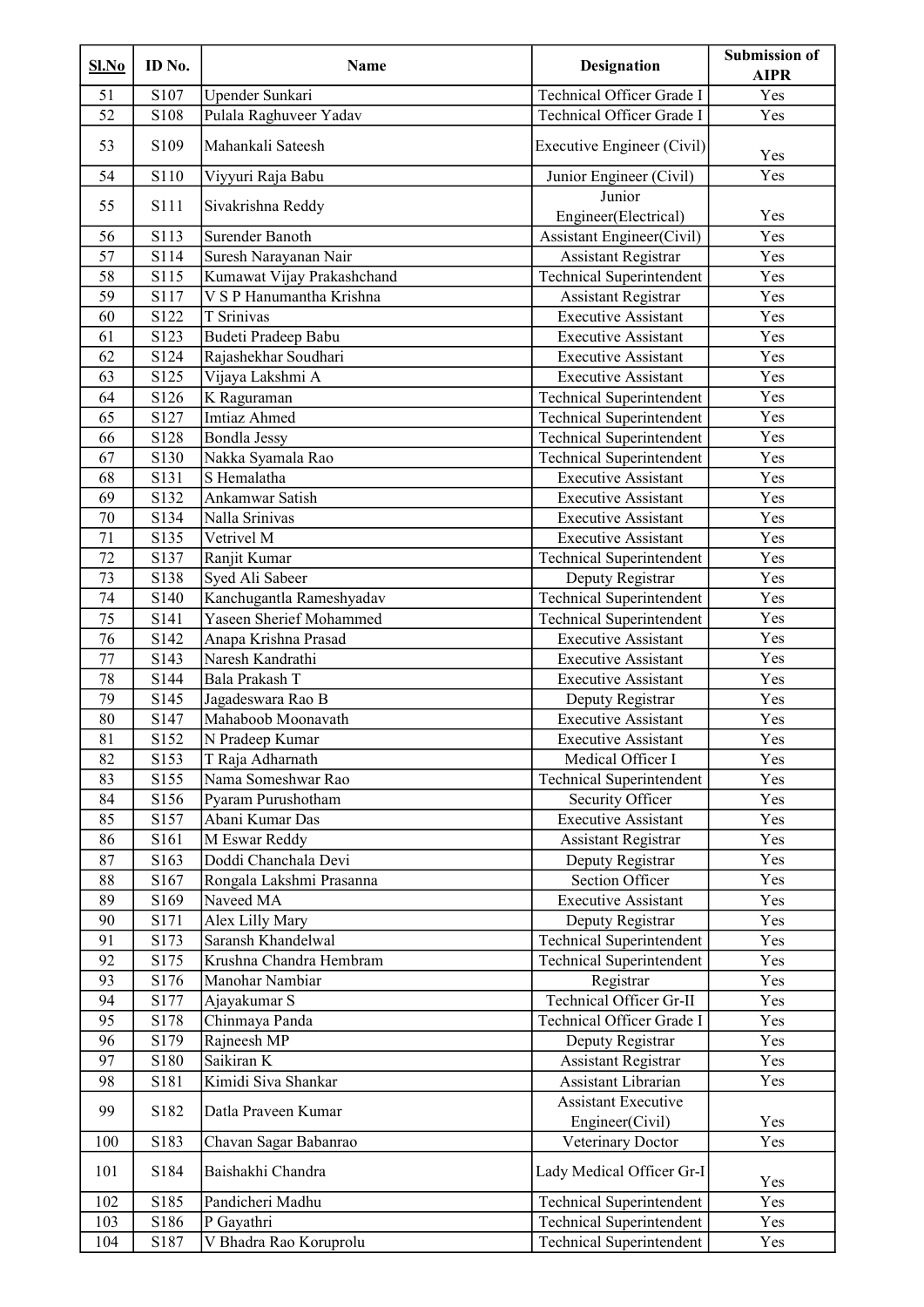| Sl.No           | ID No. | Name                       | <b>Designation</b>                            | <b>Submission of</b><br><b>AIPR</b> |
|-----------------|--------|----------------------------|-----------------------------------------------|-------------------------------------|
| 51              | S107   | Upender Sunkari            | Technical Officer Grade I                     | Yes                                 |
| 52              | S108   | Pulala Raghuveer Yadav     | Technical Officer Grade I                     | Yes                                 |
| 53              | S109   | Mahankali Sateesh          | Executive Engineer (Civil)                    | Yes                                 |
| 54              | S110   | Viyyuri Raja Babu          | Junior Engineer (Civil)                       | Yes                                 |
| 55              | S111   | Sivakrishna Reddy          | Junior<br>Engineer(Electrical)                | Yes                                 |
| 56              | S113   | Surender Banoth            | <b>Assistant Engineer(Civil)</b>              | Yes                                 |
| 57              | S114   | Suresh Narayanan Nair      | <b>Assistant Registrar</b>                    | Yes                                 |
| 58              | S115   | Kumawat Vijay Prakashchand | <b>Technical Superintendent</b>               | Yes                                 |
| 59              | S117   | V S P Hanumantha Krishna   | Assistant Registrar                           | Yes                                 |
| 60              | S122   | <b>T</b> Srinivas          | <b>Executive Assistant</b>                    | Yes                                 |
| 61              | S123   | Budeti Pradeep Babu        | <b>Executive Assistant</b>                    | Yes                                 |
| 62              | S124   | Rajashekhar Soudhari       | <b>Executive Assistant</b>                    | Yes                                 |
| 63              | S125   | Vijaya Lakshmi A           | <b>Executive Assistant</b>                    | Yes                                 |
| 64              | S126   | K Raguraman                | <b>Technical Superintendent</b>               | Yes                                 |
| 65              | S127   | <b>Imtiaz Ahmed</b>        | <b>Technical Superintendent</b>               | Yes                                 |
| 66              | S128   | <b>Bondla Jessy</b>        | <b>Technical Superintendent</b>               | Yes                                 |
| 67              | S130   | Nakka Syamala Rao          | <b>Technical Superintendent</b>               | Yes                                 |
| 68              | S131   | S Hemalatha                | <b>Executive Assistant</b>                    | Yes                                 |
| 69              | S132   | Ankamwar Satish            | <b>Executive Assistant</b>                    | Yes                                 |
| 70              | S134   | Nalla Srinivas             | <b>Executive Assistant</b>                    | Yes                                 |
| 71              | S135   | Vetrivel M                 | <b>Executive Assistant</b>                    | Yes                                 |
| 72              | S137   | Ranjit Kumar               | <b>Technical Superintendent</b>               | Yes                                 |
| 73              | S138   | Syed Ali Sabeer            | Deputy Registrar                              | Yes                                 |
| 74              | S140   | Kanchugantla Rameshyadav   | <b>Technical Superintendent</b>               | Yes                                 |
| 75              | S141   | Yaseen Sherief Mohammed    | <b>Technical Superintendent</b>               | Yes                                 |
| 76              | S142   | Anapa Krishna Prasad       | <b>Executive Assistant</b>                    | Yes                                 |
| 77              | S143   | Naresh Kandrathi           | <b>Executive Assistant</b>                    | Yes                                 |
| 78              | S144   | Bala Prakash T             | <b>Executive Assistant</b>                    | Yes                                 |
| $\overline{79}$ | S145   | Jagadeswara Rao B          | Deputy Registrar                              | Yes                                 |
| 80              | S147   | Mahaboob Moonavath         | <b>Executive Assistant</b>                    | Yes                                 |
| 81              | S152   | N Pradeep Kumar            | <b>Executive Assistant</b>                    | Yes                                 |
| 82              | S153   | T Raja Adharnath           | Medical Officer I                             | Yes                                 |
| 83              | S155   | Nama Someshwar Rao         | <b>Technical Superintendent</b>               | Yes                                 |
| 84              | S156   | Pyaram Purushotham         | Security Officer                              | Yes                                 |
| 85              | S157   | Abani Kumar Das            | <b>Executive Assistant</b>                    | Yes                                 |
| 86              | S161   | M Eswar Reddy              | <b>Assistant Registrar</b>                    | Yes                                 |
| 87              | S163   | Doddi Chanchala Devi       | Deputy Registrar                              | Yes                                 |
| 88              | S167   | Rongala Lakshmi Prasanna   | Section Officer                               | Yes                                 |
| 89              | S169   | Naveed MA                  | <b>Executive Assistant</b>                    | Yes                                 |
| 90              | S171   | Alex Lilly Mary            | Deputy Registrar                              | Yes                                 |
| 91              | S173   | Saransh Khandelwal         | <b>Technical Superintendent</b>               | Yes                                 |
| 92              | S175   | Krushna Chandra Hembram    | <b>Technical Superintendent</b>               | Yes                                 |
| 93              | S176   | Manohar Nambiar            | Registrar                                     | Yes                                 |
| 94              | S177   | Ajayakumar S               | Technical Officer Gr-II                       | Yes                                 |
| 95              | S178   | Chinmaya Panda             | Technical Officer Grade I                     | Yes                                 |
| 96              | S179   | Rajneesh MP                | Deputy Registrar                              | Yes                                 |
| 97              | S180   | Saikiran K                 | <b>Assistant Registrar</b>                    | Yes                                 |
| 98              | S181   | Kimidi Siva Shankar        | Assistant Librarian                           | Yes                                 |
| 99              | S182   | Datla Praveen Kumar        | <b>Assistant Executive</b><br>Engineer(Civil) | Yes                                 |
| 100             | S183   | Chavan Sagar Babanrao      | Veterinary Doctor                             | Yes                                 |
| 101             | S184   | Baishakhi Chandra          | Lady Medical Officer Gr-I                     |                                     |
| 102             | S185   | Pandicheri Madhu           | <b>Technical Superintendent</b>               | Yes<br>Yes                          |
| 103             | S186   | P Gayathri                 | <b>Technical Superintendent</b>               | Yes                                 |
| 104             | S187   | V Bhadra Rao Koruprolu     | <b>Technical Superintendent</b>               | Yes                                 |